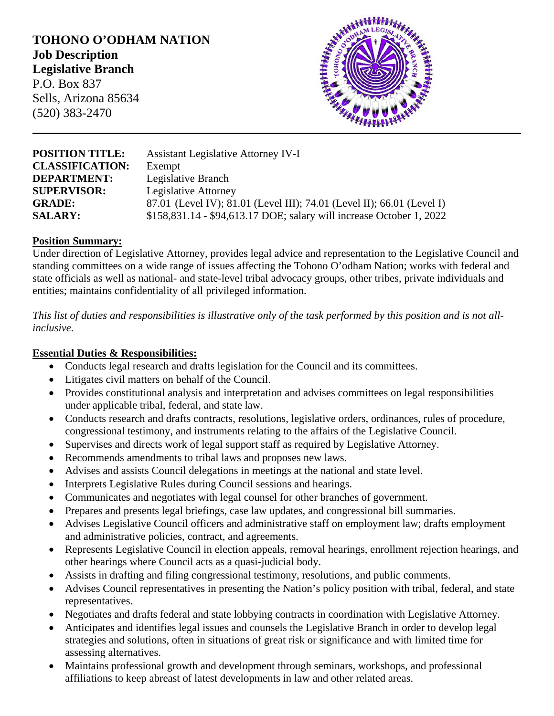# **TOHONO O'ODHAM NATION Job Description Legislative Branch** P.O. Box 837

Sells, Arizona 85634 (520) 383-2470



| <b>POSITION TITLE:</b> | <b>Assistant Legislative Attorney IV-I</b>                             |
|------------------------|------------------------------------------------------------------------|
| <b>CLASSIFICATION:</b> | Exempt                                                                 |
| <b>DEPARTMENT:</b>     | Legislative Branch                                                     |
| <b>SUPERVISOR:</b>     | <b>Legislative Attorney</b>                                            |
| <b>GRADE:</b>          | 87.01 (Level IV); 81.01 (Level III); 74.01 (Level II); 66.01 (Level I) |
| <b>SALARY:</b>         | \$158,831.14 - \$94,613.17 DOE; salary will increase October 1, 2022   |

### **Position Summary:**

Under direction of Legislative Attorney, provides legal advice and representation to the Legislative Council and standing committees on a wide range of issues affecting the Tohono O'odham Nation; works with federal and state officials as well as national- and state-level tribal advocacy groups, other tribes, private individuals and entities; maintains confidentiality of all privileged information.

*This list of duties and responsibilities is illustrative only of the task performed by this position and is not allinclusive.*

### **Essential Duties & Responsibilities:**

- Conducts legal research and drafts legislation for the Council and its committees.
- Litigates civil matters on behalf of the Council.
- Provides constitutional analysis and interpretation and advises committees on legal responsibilities under applicable tribal, federal, and state law.
- Conducts research and drafts contracts, resolutions, legislative orders, ordinances, rules of procedure, congressional testimony, and instruments relating to the affairs of the Legislative Council.
- Supervises and directs work of legal support staff as required by Legislative Attorney.
- Recommends amendments to tribal laws and proposes new laws.
- Advises and assists Council delegations in meetings at the national and state level.
- Interprets Legislative Rules during Council sessions and hearings.
- Communicates and negotiates with legal counsel for other branches of government.
- Prepares and presents legal briefings, case law updates, and congressional bill summaries.
- Advises Legislative Council officers and administrative staff on employment law; drafts employment and administrative policies, contract, and agreements.
- Represents Legislative Council in election appeals, removal hearings, enrollment rejection hearings, and other hearings where Council acts as a quasi-judicial body.
- Assists in drafting and filing congressional testimony, resolutions, and public comments.
- Advises Council representatives in presenting the Nation's policy position with tribal, federal, and state representatives.
- Negotiates and drafts federal and state lobbying contracts in coordination with Legislative Attorney.
- Anticipates and identifies legal issues and counsels the Legislative Branch in order to develop legal strategies and solutions, often in situations of great risk or significance and with limited time for assessing alternatives.
- Maintains professional growth and development through seminars, workshops, and professional affiliations to keep abreast of latest developments in law and other related areas.